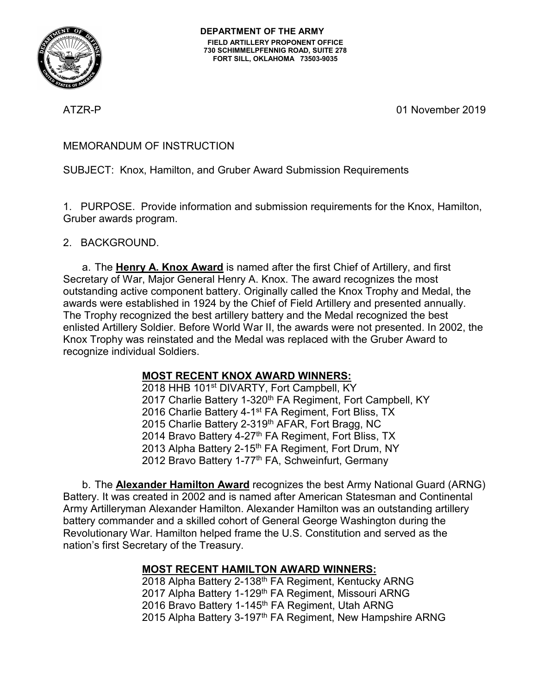

ATZR-P 01 November 2019

### MEMORANDUM OF INSTRUCTION

SUBJECT: Knox, Hamilton, and Gruber Award Submission Requirements

1. PURPOSE. Provide information and submission requirements for the Knox, Hamilton, Gruber awards program.

2. BACKGROUND.

a. The **Henry A. Knox Award** is named after the first Chief of Artillery, and first Secretary of War, Major General Henry A. Knox. The award recognizes the most outstanding active component battery. Originally called the Knox Trophy and Medal, the awards were established in 1924 by the Chief of Field Artillery and presented annually. The Trophy recognized the best artillery battery and the Medal recognized the best enlisted Artillery Soldier. Before World War II, the awards were not presented. In 2002, the Knox Trophy was reinstated and the Medal was replaced with the Gruber Award to recognize individual Soldiers.

# **MOST RECENT KNOX AWARD WINNERS:**

2018 HHB 101<sup>st</sup> DIVARTY, Fort Campbell, KY 2017 Charlie Battery 1-320<sup>th</sup> FA Regiment, Fort Campbell, KY 2016 Charlie Battery 4-1<sup>st</sup> FA Regiment, Fort Bliss, TX 2015 Charlie Battery 2-319<sup>th</sup> AFAR, Fort Bragg, NC 2014 Bravo Battery 4-27<sup>th</sup> FA Regiment, Fort Bliss, TX 2013 Alpha Battery 2-15<sup>th</sup> FA Regiment, Fort Drum, NY 2012 Bravo Battery 1-77<sup>th</sup> FA, Schweinfurt, Germany

b. The **Alexander Hamilton Award** recognizes the best Army National Guard (ARNG) Battery. It was created in 2002 and is named after American Statesman and Continental Army Artilleryman Alexander Hamilton. Alexander Hamilton was an outstanding artillery battery commander and a skilled cohort of General George Washington during the Revolutionary War. Hamilton helped frame the U.S. Constitution and served as the nation's first Secretary of the Treasury.

# **MOST RECENT HAMILTON AWARD WINNERS:**

2018 Alpha Battery 2-138th FA Regiment, Kentucky ARNG 2017 Alpha Battery 1-129<sup>th</sup> FA Regiment, Missouri ARNG 2016 Bravo Battery 1-145<sup>th</sup> FA Regiment, Utah ARNG 2015 Alpha Battery 3-197<sup>th</sup> FA Regiment, New Hampshire ARNG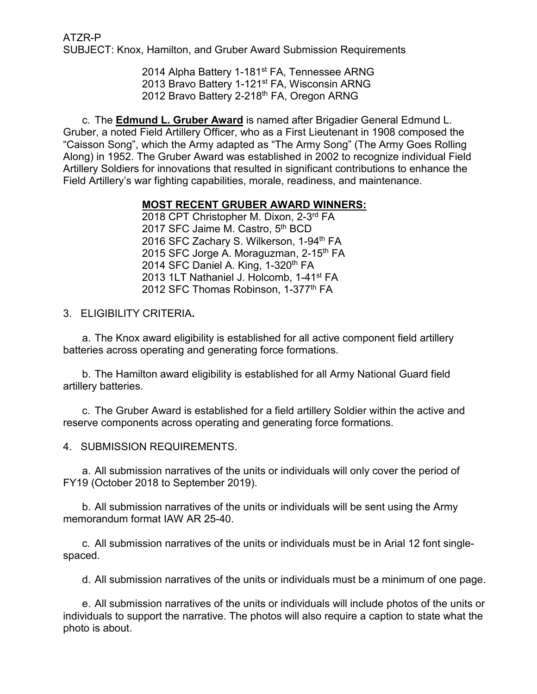ATZR-P SUBJECT: Knox, Hamilton, and Gruber Award Submission Requirements

> 2014 Alpha Battery 1-181<sup>st</sup> FA, Tennessee ARNG 2013 Bravo Battery 1-121st FA, Wisconsin ARNG 2012 Bravo Battery 2-218<sup>th</sup> FA, Oregon ARNG

c. The **Edmund L. Gruber Award** is named after Brigadier General Edmund L. Gruber, a noted Field Artillery Officer, who as a First Lieutenant in 1908 composed the "Caisson Song", which the Army adapted as "The Army Song" (The Army Goes Rolling Along) in 1952. The Gruber Award was established in 2002 to recognize individual Field Artillery Soldiers for innovations that resulted in significant contributions to enhance the Field Artillery's war fighting capabilities, morale, readiness, and maintenance.

### **MOST RECENT GRUBER AWARD WINNERS:**

2018 CPT Christopher M. Dixon, 2-3rd FA 2017 SFC Jaime M. Castro, 5<sup>th</sup> BCD 2016 SFC Zachary S. Wilkerson, 1-94<sup>th</sup> FA 2015 SFC Jorge A. Moraguzman, 2-15<sup>th</sup> FA 2014 SFC Daniel A. King, 1-320<sup>th</sup> FA 2013 1LT Nathaniel J. Holcomb, 1-41st FA 2012 SFC Thomas Robinson, 1-377th FA

3. ELIGIBILITY CRITERIA**.**

a. The Knox award eligibility is established for all active component field artillery batteries across operating and generating force formations.

b. The Hamilton award eligibility is established for all Army National Guard field artillery batteries.

c. The Gruber Award is established for a field artillery Soldier within the active and reserve components across operating and generating force formations.

4. SUBMISSION REQUIREMENTS.

a. All submission narratives of the units or individuals will only cover the period of FY19 (October 2018 to September 2019).

b. All submission narratives of the units or individuals will be sent using the Army memorandum format IAW AR 25-40.

c. All submission narratives of the units or individuals must be in Arial 12 font singlespaced.

d. All submission narratives of the units or individuals must be a minimum of one page.

e. All submission narratives of the units or individuals will include photos of the units or individuals to support the narrative. The photos will also require a caption to state what the photo is about.